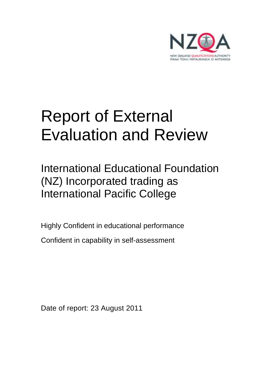

# Report of External Evaluation and Review

International Educational Foundation (NZ) Incorporated trading as International Pacific College

Highly Confident in educational performance Confident in capability in self-assessment

Date of report: 23 August 2011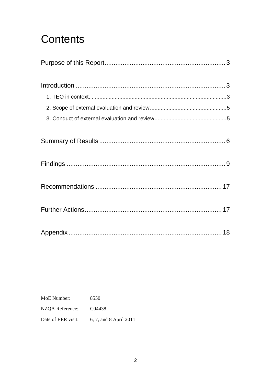## **Contents**

MoE Number: 8550 NZQA Reference: C04438 6, 7, and 8 April 2011 Date of EER visit: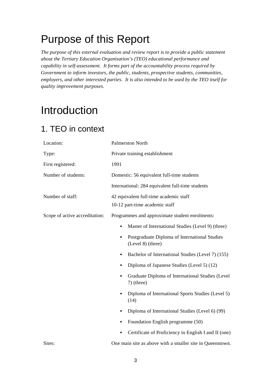## Purpose of this Report

*The purpose of this external evaluation and review report is to provide a public statement about the Tertiary Education Organisation's (TEO) educational performance and capability in self-assessment. It forms part of the accountability process required by Government to inform investors, the public, students, prospective students, communities, employers, and other interested parties. It is also intended to be used by the TEO itself for quality improvement purposes.* 

## Introduction

### 1. TEO in context

| Location:                      | <b>Palmerston North</b>                                                         |
|--------------------------------|---------------------------------------------------------------------------------|
| Type:                          | Private training establishment                                                  |
| First registered:              | 1991                                                                            |
| Number of students:            | Domestic: 56 equivalent full-time students                                      |
|                                | International: 284 equivalent full-time students                                |
| Number of staff:               | 42 equivalent full-time academic staff<br>10-12 part-time academic staff        |
| Scope of active accreditation: | Programmes and approximate student enrolments:                                  |
|                                | Master of International Studies (Level 9) (three)                               |
|                                | Postgraduate Diploma of International Studies<br>$\bullet$<br>(Level 8) (three) |
|                                | Bachelor of International Studies (Level 7) (155)                               |
|                                | Diploma of Japanese Studies (Level 5) (12)                                      |
|                                | Graduate Diploma of International Studies (Level<br>$7)$ (three)                |
|                                | Diploma of International Sports Studies (Level 5)<br>(14)                       |
|                                | Diploma of International Studies (Level 6) (99)                                 |
|                                | Foundation English programme (50)                                               |
|                                | Certificate of Proficiency in English I and II (one)                            |
| Sites:                         | One main site as above with a smaller site in Queenstown.                       |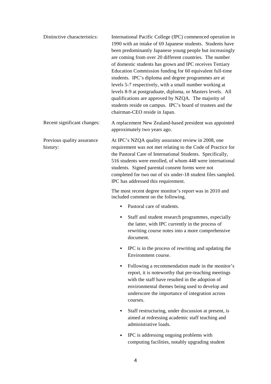| Distinctive characteristics:           | International Pacific College (IPC) commenced operation in<br>1990 with an intake of 69 Japanese students. Students have<br>been predominantly Japanese young people but increasingly<br>are coming from over 20 different countries. The number<br>of domestic students has grown and IPC receives Tertiary<br>Education Commission funding for 60 equivalent full-time<br>students. IPC's diploma and degree programmes are at<br>levels 5-7 respectively, with a small number working at<br>levels 8-9 at postgraduate, diploma, or Masters levels. All<br>qualifications are approved by NZQA. The majority of<br>students reside on campus. IPC's board of trustees and the<br>chairman-CEO reside in Japan. |
|----------------------------------------|-------------------------------------------------------------------------------------------------------------------------------------------------------------------------------------------------------------------------------------------------------------------------------------------------------------------------------------------------------------------------------------------------------------------------------------------------------------------------------------------------------------------------------------------------------------------------------------------------------------------------------------------------------------------------------------------------------------------|
| Recent significant changes:            | A replacement New Zealand-based president was appointed<br>approximately two years ago.                                                                                                                                                                                                                                                                                                                                                                                                                                                                                                                                                                                                                           |
| Previous quality assurance<br>history: | At IPC's NZQA quality assurance review in 2008, one<br>requirement was not met relating to the Code of Practice for<br>the Pastoral Care of International Students. Specifically,<br>516 students were enrolled, of whom 448 were international<br>students. Signed parental consent forms were not<br>completed for two out of six under-18 student files sampled.<br>IPC has addressed this requirement.                                                                                                                                                                                                                                                                                                        |
|                                        | The most recent degree monitor's report was in 2010 and<br>included comment on the following.                                                                                                                                                                                                                                                                                                                                                                                                                                                                                                                                                                                                                     |
|                                        | Pastoral care of students.<br>$\bullet$                                                                                                                                                                                                                                                                                                                                                                                                                                                                                                                                                                                                                                                                           |
|                                        | Staff and student research programmes, especially<br>٠<br>the latter, with IPC currently in the process of<br>rewriting course notes into a more comprehensive<br>document.                                                                                                                                                                                                                                                                                                                                                                                                                                                                                                                                       |
|                                        | IPC is in the process of rewriting and updating the<br>Environment course.                                                                                                                                                                                                                                                                                                                                                                                                                                                                                                                                                                                                                                        |
|                                        | Following a recommendation made in the monitor's<br>report, it is noteworthy that pre-teaching meetings<br>with the staff have resulted in the adoption of<br>environmental themes being used to develop and<br>underscore the importance of integration across<br>courses.                                                                                                                                                                                                                                                                                                                                                                                                                                       |
|                                        | Staff restructuring, under discussion at present, is<br>aimed at redressing academic staff teaching and<br>administrative loads.                                                                                                                                                                                                                                                                                                                                                                                                                                                                                                                                                                                  |
|                                        | IPC is addressing ongoing problems with<br>computing facilities, notably upgrading student                                                                                                                                                                                                                                                                                                                                                                                                                                                                                                                                                                                                                        |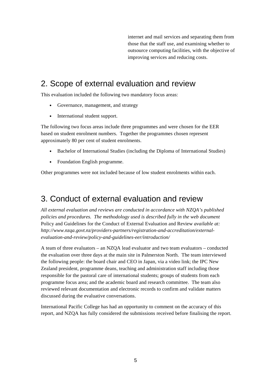internet and mail services and separating them from those that the staff use, and examining whether to outsource computing facilities, with the objective of improving services and reducing costs.

### 2. Scope of external evaluation and review

This evaluation included the following two mandatory focus areas:

- Governance, management, and strategy
- International student support.

The following two focus areas include three programmes and were chosen for the EER based on student enrolment numbers. Together the programmes chosen represent approximately 80 per cent of student enrolments.

- Bachelor of International Studies (including the Diploma of International Studies)
- Foundation English programme.

Other programmes were not included because of low student enrolments within each.

### 3. Conduct of external evaluation and review

*All external evaluation and reviews are conducted in accordance with NZQA's published policies and procedures. The methodology used is described fully in the web document*  Policy and Guidelines for the Conduct of External Evaluation and Review *available at: http://www.nzqa.govt.nz/providers-partners/registration-and-accreditation/externalevaluation-and-review/policy-and-guidelines-eer/introduction/* 

A team of three evaluators – an NZQA lead evaluator and two team evaluators – conducted the evaluation over three days at the main site in Palmerston North. The team interviewed the following people: the board chair and CEO in Japan, via a video link; the IPC New Zealand president, programme deans, teaching and administration staff including those responsible for the pastoral care of international students; groups of students from each programme focus area; and the academic board and research committee. The team also reviewed relevant documentation and electronic records to confirm and validate matters discussed during the evaluative conversations.

International Pacific College has had an opportunity to comment on the accuracy of this report, and NZQA has fully considered the submissions received before finalising the report.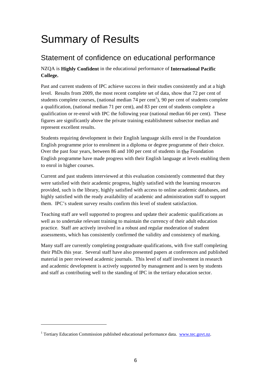## Summary of Results

### Statement of confidence on educational performance

NZQA is **Highly Confident** in the educational performance of **International Pacific College.** 

Past and current students of IPC achieve success in their studies consistently and at a high level. Results from 2009, the most recent complete set of data, show that 72 per cent of students complete courses, (national median  $74$  per cent<sup>1</sup>), 90 per cent of students complete a qualification, (national median 71 per cent), and 83 per cent of students complete a qualification or re-enrol with IPC the following year (national median 66 per cent). These figures are significantly above the private training establishment subsector median and represent excellent results.

Students requiring development in their English language skills enrol in the Foundation English programme prior to enrolment in a diploma or degree programme of their choice. Over the past four years, between 86 and 100 per cent of students in the Foundation English programme have made progress with their English language at levels enabling them to enrol in higher courses.

Current and past students interviewed at this evaluation consistently commented that they were satisfied with their academic progress, highly satisfied with the learning resources provided, such is the library, highly satisfied with access to online academic databases, and highly satisfied with the ready availability of academic and administration staff to support them. IPC's student survey results confirm this level of student satisfaction.

Teaching staff are well supported to progress and update their academic qualifications as well as to undertake relevant training to maintain the currency of their adult education practice. Staff are actively involved in a robust and regular moderation of student assessments, which has consistently confirmed the validity and consistency of marking.

Many staff are currently completing postgraduate qualifications, with five staff completing their PhDs this year. Several staff have also presented papers at conferences and published material in peer reviewed academic journals. This level of staff involvement in research and academic development is actively supported by management and is seen by students and staff as contributing well to the standing of IPC in the tertiary education sector.

 $\overline{a}$ 

<sup>&</sup>lt;sup>1</sup> Tertiary Education Commission published educational performance data. www.tec.govt.nz.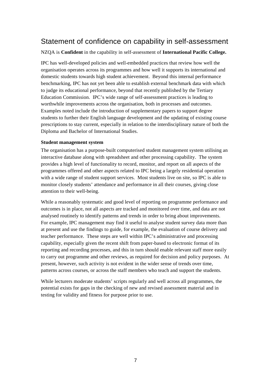### Statement of confidence on capability in self-assessment

NZQA is **Confident** in the capability in self-assessment of **International Pacific College.** 

IPC has well-developed policies and well-embedded practices that review how well the organisation operates across its programmes and how well it supports its international and domestic students towards high student achievement. Beyond this internal performance benchmarking, IPC has not yet been able to establish external benchmark data with which to judge its educational performance, beyond that recently published by the Tertiary Education Commission. IPC's wide range of self-assessment practices is leading to worthwhile improvements across the organisation, both in processes and outcomes. Examples noted include the introduction of supplementary papers to support degree students to further their English language development and the updating of existing course prescriptions to stay current, especially in relation to the interdisciplinary nature of both the Diploma and Bachelor of International Studies.

#### **Student management system**

The organisation has a purpose-built computerised student management system utilising an interactive database along with spreadsheet and other processing capability. The system provides a high level of functionality to record, monitor, and report on all aspects of the programmes offered and other aspects related to IPC being a largely residential operation with a wide range of student support services. Most students live on site, so IPC is able to monitor closely students' attendance and performance in all their courses, giving close attention to their well-being.

While a reasonably systematic and good level of reporting on programme performance and outcomes is in place, not all aspects are tracked and monitored over time, and data are not analysed routinely to identify patterns and trends in order to bring about improvements. For example, IPC management may find it useful to analyse student survey data more than at present and use the findings to guide, for example, the evaluation of course delivery and teacher performance. These steps are well within IPC's administrative and processing capability, especially given the recent shift from paper-based to electronic format of its reporting and recording processes, and this in turn should enable relevant staff more easily to carry out programme and other reviews, as required for decision and policy purposes. At present, however, such activity is not evident in the wider sense of trends over time, patterns across courses, or across the staff members who teach and support the students.

While lecturers moderate students' scripts regularly and well across all programmes, the potential exists for gaps in the checking of new and revised assessment material and in testing for validity and fitness for purpose prior to use.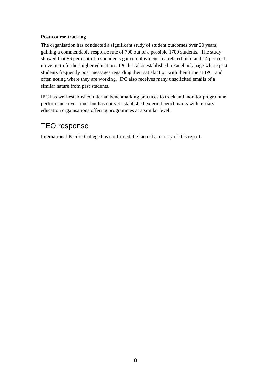#### **Post-course tracking**

The organisation has conducted a significant study of student outcomes over 20 years, gaining a commendable response rate of 700 out of a possible 1700 students. The study showed that 86 per cent of respondents gain employment in a related field and 14 per cent move on to further higher education. IPC has also established a Facebook page where past students frequently post messages regarding their satisfaction with their time at IPC, and often noting where they are working. IPC also receives many unsolicited emails of a similar nature from past students.

IPC has well-established internal benchmarking practices to track and monitor programme performance over time, but has not yet established external benchmarks with tertiary education organisations offering programmes at a similar level.

### TEO response

International Pacific College has confirmed the factual accuracy of this report.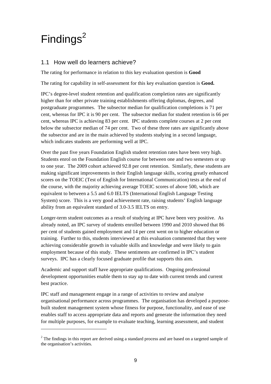## $Findings<sup>2</sup>$

 $\overline{a}$ 

#### 1.1 How well do learners achieve?

The rating for performance in relation to this key evaluation question is **Good**

The rating for capability in self-assessment for this key evaluation question is **Good.**

IPC's degree-level student retention and qualification completion rates are significantly higher than for other private training establishments offering diplomas, degrees, and postgraduate programmes. The subsector median for qualification completions is 71 per cent, whereas for IPC it is 90 per cent. The subsector median for student retention is 66 per cent, whereas IPC is achieving 83 per cent. IPC students complete courses at 2 per cent below the subsector median of 74 per cent. Two of these three rates are significantly above the subsector and are in the main achieved by students studying in a second language, which indicates students are performing well at IPC.

Over the past five years Foundation English student retention rates have been very high. Students enrol on the Foundation English course for between one and two semesters or up to one year. The 2009 cohort achieved 92.8 per cent retention. Similarly, these students are making significant improvements in their English language skills, scoring greatly enhanced scores on the TOEIC (Test of English for International Communication) tests at the end of the course, with the majority achieving average TOEIC scores of above 500, which are equivalent to between a 5.5 and 6.0 IELTS (International English Language Testing System) score. This is a very good achievement rate, raising students' English language ability from an equivalent standard of 3.0-3.5 IELTS on entry.

Longer-term student outcomes as a result of studying at IPC have been very positive. As already noted, an IPC survey of students enrolled between 1990 and 2010 showed that 86 per cent of students gained employment and 14 per cent went on to higher education or training. Further to this, students interviewed at this evaluation commented that they were achieving considerable growth in valuable skills and knowledge and were likely to gain employment because of this study. These sentiments are confirmed in IPC's student surveys. IPC has a clearly focused graduate profile that supports this aim.

Academic and support staff have appropriate qualifications. Ongoing professional development opportunities enable them to stay up to date with current trends and current best practice.

IPC staff and management engage in a range of activities to review and analyse organisational performance across programmes. The organisation has developed a purposebuilt student management system whose fitness for purpose, functionality, and ease of use enables staff to access appropriate data and reports and generate the information they need for multiple purposes, for example to evaluate teaching, learning assessment, and student

 $2$  The findings in this report are derived using a standard process and are based on a targeted sample of the organisation's activities.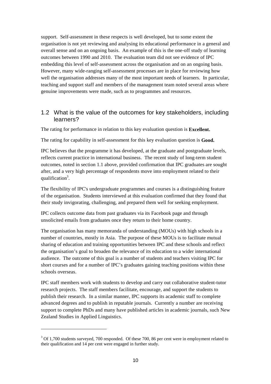support. Self-assessment in these respects is well developed, but to some extent the organisation is not yet reviewing and analysing its educational performance in a general and overall sense and on an ongoing basis. An example of this is the one-off study of learning outcomes between 1990 and 2010. The evaluation team did not see evidence of IPC embedding this level of self-assessment across the organisation and on an ongoing basis. However, many wide-ranging self-assessment processes are in place for reviewing how well the organisation addresses many of the most important needs of learners. In particular, teaching and support staff and members of the management team noted several areas where genuine improvements were made, such as to programmes and resources.

#### 1.2 What is the value of the outcomes for key stakeholders, including learners?

The rating for performance in relation to this key evaluation question is **Excellent.**

The rating for capability in self-assessment for this key evaluation question is **Good.**

IPC believes that the programme it has developed, at the graduate and postgraduate levels, reflects current practice in international business. The recent study of long-term student outcomes, noted in section 1.1 above, provided confirmation that IPC graduates are sought after, and a very high percentage of respondents move into employment related to their qualification<sup>3</sup>.

The flexibility of IPC's undergraduate programmes and courses is a distinguishing feature of the organisation. Students interviewed at this evaluation confirmed that they found that their study invigorating, challenging, and prepared them well for seeking employment.

IPC collects outcome data from past graduates via its Facebook page and through unsolicited emails from graduates once they return to their home country.

The organisation has many memoranda of understanding (MOUs) with high schools in a number of countries, mostly in Asia. The purpose of these MOUs is to facilitate mutual sharing of education and training opportunities between IPC and these schools and reflect the organisation's goal to broaden the relevance of its education to a wider international audience. The outcome of this goal is a number of students and teachers visiting IPC for short courses and for a number of IPC's graduates gaining teaching positions within these schools overseas.

IPC staff members work with students to develop and carry out collaborative student-tutor research projects. The staff members facilitate, encourage, and support the students to publish their research. In a similar manner, IPC supports its academic staff to complete advanced degrees and to publish in reputable journals. Currently a number are receiving support to complete PhDs and many have published articles in academic journals, such New Zealand Studies in Applied Linguistics.

 $\overline{a}$ 

 $3$  Of 1,700 students surveyed, 700 responded. Of these 700, 86 per cent were in employment related to their qualification and 14 per cent were engaged in further study.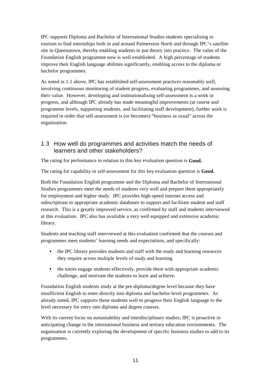IPC supports Diploma and Bachelor of International Studies students specialising in tourism to find internships both in and around Palmerston North and through IPC's satellite site in Queenstown, thereby enabling students to put theory into practice. The value of the Foundation English programme now is well established. A high percentage of students improve their English language abilities significantly, enabling access to the diploma or bachelor programmes.

As noted in 1.1 above, IPC has established self-assessment practices reasonably well, involving continuous monitoring of student progress, evaluating programmes, and assessing their value. However, developing and institutionalising self-assessment is a work in progress, and although IPC already has made meaningful improvements (at course and programme levels, supporting students, and facilitating staff development), further work is required in order that self-assessment is (or becomes) "business as usual" across the organisation.

#### 1.3 How well do programmes and activities match the needs of learners and other stakeholders?

The rating for performance in relation to this key evaluation question is **Good.**

The rating for capability in self-assessment for this key evaluation question is **Good.**

Both the Foundation English programme and the Diploma and Bachelor of International Studies programmes meet the needs of students very well and prepare them appropriately for employment and higher study. IPC provides high-speed internet access and subscriptions to appropriate academic databases to support and facilitate student and staff research. This is a greatly improved service, as confirmed by staff and students interviewed at this evaluation. IPC also has available a very well equipped and extensive academic library.

Students and teaching staff interviewed at this evaluation confirmed that the courses and programmes meet students' learning needs and expectations, and specifically:

- the IPC library provides students and staff with the study and learning resources they require across multiple levels of study and learning
- the tutors engage students effectively, provide them with appropriate academic challenge, and motivate the students to learn and achieve.

Foundation English students study at the pre-diploma/degree level because they have insufficient English to enter directly into diploma and bachelor-level programmes. As already noted, IPC supports these students well to progress their English language to the level necessary for entry into diploma and degree courses.

With its current focus on sustainability and interdisciplinary studies, IPC is proactive in anticipating change in the international business and tertiary education environments. The organisation is currently exploring the development of specific business studies to add to its programmes.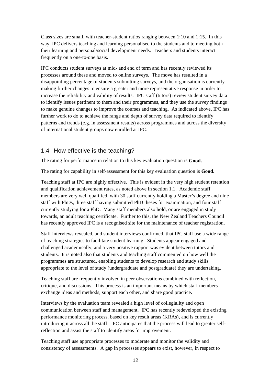Class sizes are small, with teacher-student ratios ranging between 1:10 and 1:15. In this way, IPC delivers teaching and learning personalised to the students and to meeting both their learning and personal/social development needs. Teachers and students interact frequently on a one-to-one basis.

IPC conducts student surveys at mid- and end of term and has recently reviewed its processes around these and moved to online surveys. The move has resulted in a disappointing percentage of students submitting surveys, and the organisation is currently making further changes to ensure a greater and more representative response in order to increase the reliability and validity of results. IPC staff (tutors) review student survey data to identify issues pertinent to them and their programmes, and they use the survey findings to make genuine changes to improve the courses and teaching. As indicated above, IPC has further work to do to achieve the range and depth of survey data required to identify patterns and trends (e.g. in assessment results) across programmes and across the diversity of international student groups now enrolled at IPC.

#### 1.4 How effective is the teaching?

The rating for performance in relation to this key evaluation question is **Good.**

The rating for capability in self-assessment for this key evaluation question is **Good.**

Teaching staff at IPC are highly effective. This is evident in the very high student retention and qualification achievement rates, as noted above in section 1.1. Academic staff members are very well qualified, with 30 staff currently holding a Master's degree and nine staff with PhDs, three staff having submitted PhD theses for examination, and four staff currently studying for a PhD. Many staff members also hold, or are engaged in study towards, an adult teaching certificate. Further to this, the New Zealand Teachers Council has recently approved IPC is a recognised site for the maintenance of teacher registration.

Staff interviews revealed, and student interviews confirmed, that IPC staff use a wide range of teaching strategies to facilitate student learning. Students appear engaged and challenged academically, and a very positive rapport was evident between tutors and students. It is noted also that students and teaching staff commented on how well the programmes are structured, enabling students to develop research and study skills appropriate to the level of study (undergraduate and postgraduate) they are undertaking.

Teaching staff are frequently involved in peer observations combined with reflection, critique, and discussions. This process is an important means by which staff members exchange ideas and methods, support each other, and share good practice.

Interviews by the evaluation team revealed a high level of collegiality and open communication between staff and management. IPC has recently redeveloped the existing performance monitoring process, based on key result areas (KRAs), and is currently introducing it across all the staff. IPC anticipates that the process will lead to greater selfreflection and assist the staff to identify areas for improvement.

Teaching staff use appropriate processes to moderate and monitor the validity and consistency of assessments. A gap in processes appears to exist, however, in respect to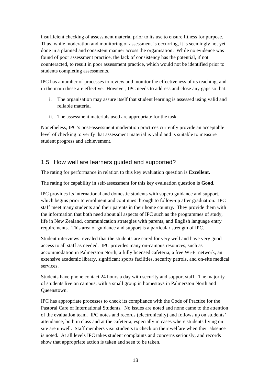insufficient checking of assessment material prior to its use to ensure fitness for purpose. Thus, while moderation and monitoring of assessment is occurring, it is seemingly not yet done in a planned and consistent manner across the organisation. While no evidence was found of poor assessment practice, the lack of consistency has the potential, if not counteracted, to result in poor assessment practice, which would not be identified prior to students completing assessments.

IPC has a number of processes to review and monitor the effectiveness of its teaching, and in the main these are effective. However, IPC needs to address and close any gaps so that:

- i. The organisation may assure itself that student learning is assessed using valid and reliable material
- ii. The assessment materials used are appropriate for the task.

Nonetheless, IPC's post-assessment moderation practices currently provide an acceptable level of checking to verify that assessment material is valid and is suitable to measure student progress and achievement.

#### 1.5 How well are learners guided and supported?

The rating for performance in relation to this key evaluation question is **Excellent.**

The rating for capability in self-assessment for this key evaluation question is **Good.**

IPC provides its international and domestic students with superb guidance and support, which begins prior to enrolment and continues through to follow-up after graduation. IPC staff meet many students and their parents in their home country. They provide them with the information that both need about all aspects of IPC such as the programmes of study, life in New Zealand, communication strategies with parents, and English language entry requirements. This area of guidance and support is a particular strength of IPC.

Student interviews revealed that the students are cared for very well and have very good access to all staff as needed. IPC provides many on-campus resources, such as accommodation in Palmerston North, a fully licensed cafeteria, a free Wi-Fi network, an extensive academic library, significant sports facilities, security patrols, and on-site medical services.

Students have phone contact 24 hours a day with security and support staff. The majority of students live on campus, with a small group in homestays in Palmerston North and Queenstown.

IPC has appropriate processes to check its compliance with the Code of Practice for the Pastoral Care of International Students. No issues are noted and none came to the attention of the evaluation team. IPC notes and records (electronically) and follows up on students' attendance, both in class and at the cafeteria, especially in cases where students living on site are unwell. Staff members visit students to check on their welfare when their absence is noted. At all levels IPC takes student complaints and concerns seriously, and records show that appropriate action is taken and seen to be taken.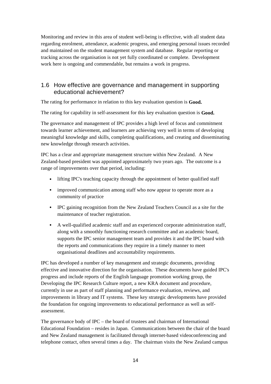Monitoring and review in this area of student well-being is effective, with all student data regarding enrolment, attendance, academic progress, and emerging personal issues recorded and maintained on the student management system and database. Regular reporting or tracking across the organisation is not yet fully coordinated or complete. Development work here is ongoing and commendable, but remains a work in progress.

#### 1.6 How effective are governance and management in supporting educational achievement?

The rating for performance in relation to this key evaluation question is **Good.**

The rating for capability in self-assessment for this key evaluation question is **Good.**

The governance and management of IPC provides a high level of focus and commitment towards learner achievement, and learners are achieving very well in terms of developing meaningful knowledge and skills, completing qualifications, and creating and disseminating new knowledge through research activities.

IPC has a clear and appropriate management structure within New Zealand. A New Zealand-based president was appointed approximately two years ago. The outcome is a range of improvements over that period, including:

- lifting IPC's teaching capacity through the appointment of better qualified staff
- improved communication among staff who now appear to operate more as a community of practice
- IPC gaining recognition from the New Zealand Teachers Council as a site for the maintenance of teacher registration.
- A well-qualified academic staff and an experienced corporate administration staff, along with a smoothly functioning research committee and an academic board, supports the IPC senior management team and provides it and the IPC board with the reports and communications they require in a timely manner to meet organisational deadlines and accountability requirements.

IPC has developed a number of key management and strategic documents, providing effective and innovative direction for the organisation. These documents have guided IPC's progress and include reports of the English language promotion working group, the Developing the IPC Research Culture report, a new KRA document and procedure, currently in use as part of staff planning and performance evaluation, reviews, and improvements in library and IT systems. These key strategic developments have provided the foundation for ongoing improvements to educational performance as well as selfassessment.

The governance body of IPC – the board of trustees and chairman of International Educational Foundation – resides in Japan. Communications between the chair of the board and New Zealand management is facilitated through internet-based videoconferencing and telephone contact, often several times a day. The chairman visits the New Zealand campus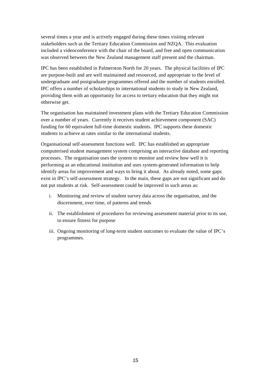several times a year and is actively engaged during these times visiting relevant stakeholders such as the Tertiary Education Commission and NZQA. This evaluation included a videoconference with the chair of the board, and free and open communication was observed between the New Zealand management staff present and the chairman.

IPC has been established in Palmerston North for 20 years. The physical facilities of IPC are purpose-built and are well maintained and resourced, and appropriate to the level of undergraduate and postgraduate programmes offered and the number of students enrolled. IPC offers a number of scholarships to international students to study in New Zealand, providing them with an opportunity for access to tertiary education that they might not otherwise get.

The organisation has maintained investment plans with the Tertiary Education Commission over a number of years. Currently it receives student achievement component (SAC) funding for 60 equivalent full-time domestic students. IPC supports these domestic students to achieve at rates similar to the international students.

Organisational self-assessment functions well. IPC has established an appropriate computerised student management system comprising an interactive database and reporting processes. The organisation uses the system to monitor and review how well it is performing as an educational institution and uses system-generated information to help identify areas for improvement and ways to bring it about. As already noted, some gaps exist in IPC's self-assessment strategy. In the main, these gaps are not significant and do not put students at risk. Self-assessment could be improved in such areas as:

- i. Monitoring and review of student survey data across the organisation, and the discernment, over time, of patterns and trends
- ii. The establishment of procedures for reviewing assessment material prior to its use, to ensure fitness for purpose
- iii. Ongoing monitoring of long-term student outcomes to evaluate the value of IPC's programmes.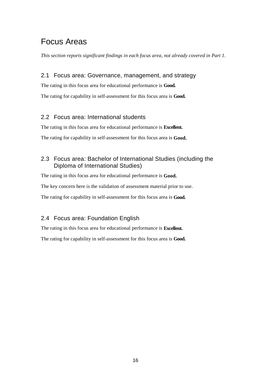### Focus Areas

*This section reports significant findings in each focus area, not already covered in Part 1.* 

#### 2.1 Focus area: Governance, management, and strategy

The rating in this focus area for educational performance is **Good.**

The rating for capability in self-assessment for this focus area is **Good.** 

#### 2.2 Focus area: International students

The rating in this focus area for educational performance is **Excellent.**

The rating for capability in self-assessment for this focus area is **Good.** 

#### 2.3 Focus area: Bachelor of International Studies (including the Diploma of International Studies)

The rating in this focus area for educational performance is **Good.** 

The key concern here is the validation of assessment material prior to use.

The rating for capability in self-assessment for this focus area is **Good.** 

#### 2.4 Focus area: Foundation English

The rating in this focus area for educational performance is **Excellent.**

The rating for capability in self-assessment for this focus area is **Good.**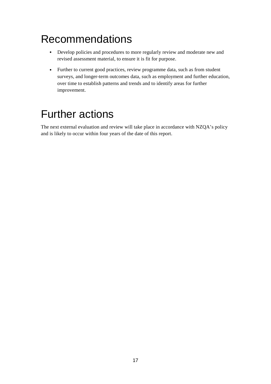## Recommendations

- Develop policies and procedures to more regularly review and moderate new and revised assessment material, to ensure it is fit for purpose.
- Further to current good practices, review programme data, such as from student surveys, and longer-term outcomes data, such as employment and further education, over time to establish patterns and trends and to identify areas for further improvement.

## Further actions

The next external evaluation and review will take place in accordance with NZQA's policy and is likely to occur within four years of the date of this report.